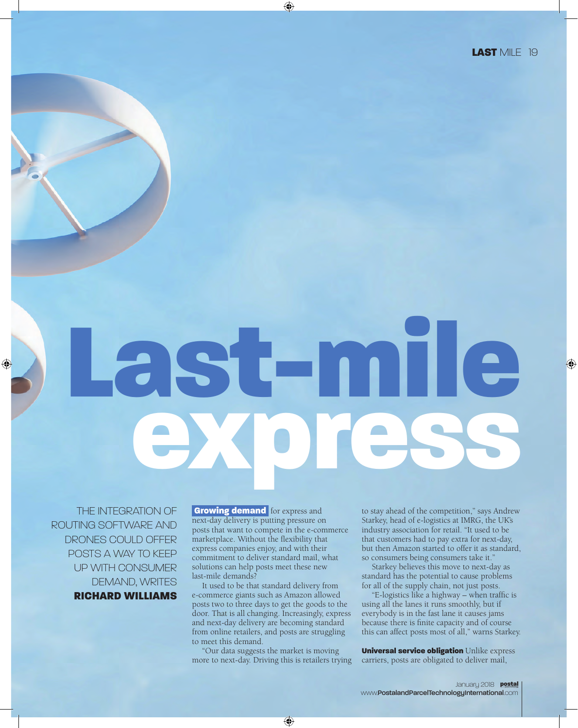## Last-mile express

THE INTEGRATION OF ROUTING SOFTWARE AND DRONES COULD OFFER POSTS A WAY TO KEEP UP WITH CONSUMER DEMAND, WRITES RICHARD WILLIAMS

**Growing demand** for express and next-day delivery is putting pressure on posts that want to compete in the e-commerce marketplace. Without the flexibility that express companies enjoy, and with their commitment to deliver standard mail, what solutions can help posts meet these new last-mile demands?

It used to be that standard delivery from e-commerce giants such as Amazon allowed posts two to three days to get the goods to the door. That is all changing. Increasingly, express and next-day delivery are becoming standard from online retailers, and posts are struggling to meet this demand.

"Our data suggests the market is moving more to next-day. Driving this is retailers trying to stay ahead of the competition," says Andrew Starkey, head of e-logistics at IMRG, the UK's industry association for retail. "It used to be that customers had to pay extra for next-day, but then Amazon started to offer it as standard, so consumers being consumers take it."

Starkey believes this move to next-day as standard has the potential to cause problems for all of the supply chain, not just posts.

"E-logistics like a highway – when traffic is using all the lanes it runs smoothly, but if everybody is in the fast lane it causes jams because there is finite capacity and of course this can affect posts most of all," warns Starkey.

Universal service obligation Unlike express carriers, posts are obligated to deliver mail,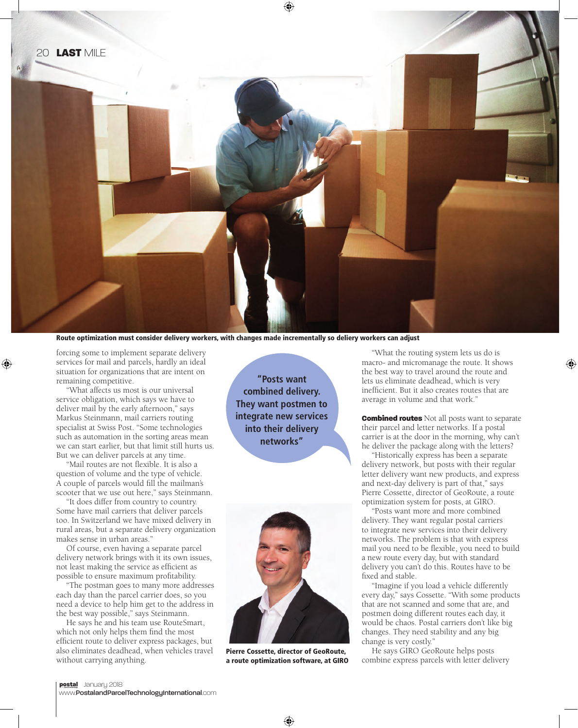

Route optimization must consider delivery workers, with changes made incrementally so deliery workers can adjust

forcing some to implement separate delivery services for mail and parcels, hardly an ideal situation for organizations that are intent on remaining competitive.

"What affects us most is our universal service obligation, which says we have to deliver mail by the early afternoon," says Markus Steinmann, mail carriers routing specialist at Swiss Post. "Some technologies such as automation in the sorting areas mean we can start earlier, but that limit still hurts us. But we can deliver parcels at any time.

"Mail routes are not flexible. It is also a question of volume and the type of vehicle. A couple of parcels would fill the mailman's scooter that we use out here," says Steinmann.

"It does differ from country to country. Some have mail carriers that deliver parcels too. In Switzerland we have mixed delivery in rural areas, but a separate delivery organization makes sense in urban areas."

Of course, even having a separate parcel delivery network brings with it its own issues, not least making the service as efficient as possible to ensure maximum profitability.

"The postman goes to many more addresses each day than the parcel carrier does, so you need a device to help him get to the address in the best way possible," says Steinmann.

He says he and his team use RouteSmart, which not only helps them find the most efficient route to deliver express packages, but also eliminates deadhead, when vehicles travel without carrying anything.

**"Posts want combined delivery. They want postmen to integrate new services into their delivery networks"**



Pierre Cossette, director of GeoRoute, a route optimization software, at GIRO

"What the routing system lets us do is macro- and micromanage the route. It shows the best way to travel around the route and lets us eliminate deadhead, which is very inefficient. But it also creates routes that are average in volume and that work."

**Combined routes** Not all posts want to separate their parcel and letter networks. If a postal carrier is at the door in the morning, why can't he deliver the package along with the letters?

"Historically express has been a separate delivery network, but posts with their regular letter delivery want new products, and express and next-day delivery is part of that," says Pierre Cossette, director of GeoRoute, a route optimization system for posts, at GIRO.

"Posts want more and more combined delivery. They want regular postal carriers to integrate new services into their delivery networks. The problem is that with express mail you need to be flexible, you need to build a new route every day, but with standard delivery you can't do this. Routes have to be fixed and stable.

"Imagine if you load a vehicle differently every day," says Cossette. "With some products that are not scanned and some that are, and postmen doing different routes each day, it would be chaos. Postal carriers don't like big changes. They need stability and any big change is very costly."

He says GIRO GeoRoute helps posts combine express parcels with letter delivery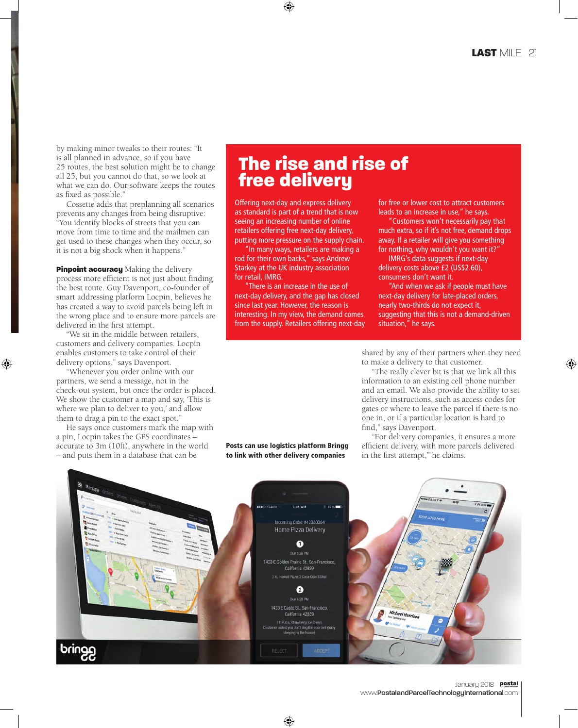by making minor tweaks to their routes: "It is all planned in advance, so if you have 25 routes, the best solution might be to change all 25, but you cannot do that, so we look at what we can do. Our software keeps the routes as fixed as possible."

Cossette adds that preplanning all scenarios prevents any changes from being disruptive: "You identify blocks of streets that you can move from time to time and the mailmen can get used to these changes when they occur, so it is not a big shock when it happens."

**Pinpoint accuracy** Making the delivery process more efficient is not just about finding the best route. Guy Davenport, co-founder of smart addressing platform Locpin, believes he has created a way to avoid parcels being left in the wrong place and to ensure more parcels are delivered in the first attempt.

"We sit in the middle between retailers, customers and delivery companies. Locpin enables customers to take control of their delivery options," says Davenport.

"Whenever you order online with our partners, we send a message, not in the check-out system, but once the order is placed. We show the customer a map and say, 'This is where we plan to deliver to you,' and allow them to drag a pin to the exact spot."

He says once customers mark the map with a pin, Locpin takes the GPS coordinates – accurate to 3m (10ft), anywhere in the world – and puts them in a database that can be

## The rise and rise of free delivery

Offering next-day and express delivery as standard is part of a trend that is now seeing an increasing number of online retailers offering free next-day delivery, putting more pressure on the supply chain.

"In many ways, retailers are making a rod for their own backs," says Andrew Starkey at the UK industry association for retail, IMRG.

"There is an increase in the use of next-day delivery, and the gap has closed since last year. However, the reason is interesting. In my view, the demand comes from the supply. Retailers offering next-day for free or lower cost to attract customers leads to an increase in use," he says.

"Customers won't necessarily pay that much extra, so if it's not free, demand drops away. If a retailer will give you something for nothing, why wouldn't you want it?'

IMRG's data suggests if next-day delivery costs above £2 (US\$2.60), consumers don't want it.

"And when we ask if people must have next-day delivery for late-placed orders, nearly two-thirds do not expect it, suggesting that this is not a demand-driven situation," he says.

shared by any of their partners when they need to make a delivery to that customer.

"The really clever bit is that we link all this information to an existing cell phone number and an email. We also provide the ability to set delivery instructions, such as access codes for gates or where to leave the parcel if there is no one in, or if a particular location is hard to find," says Davenport.

"For delivery companies, it ensures a more efficient delivery, with more parcels delivered in the first attempt," he claims.



Posts can use logistics platform Bringg to link with other delivery companies